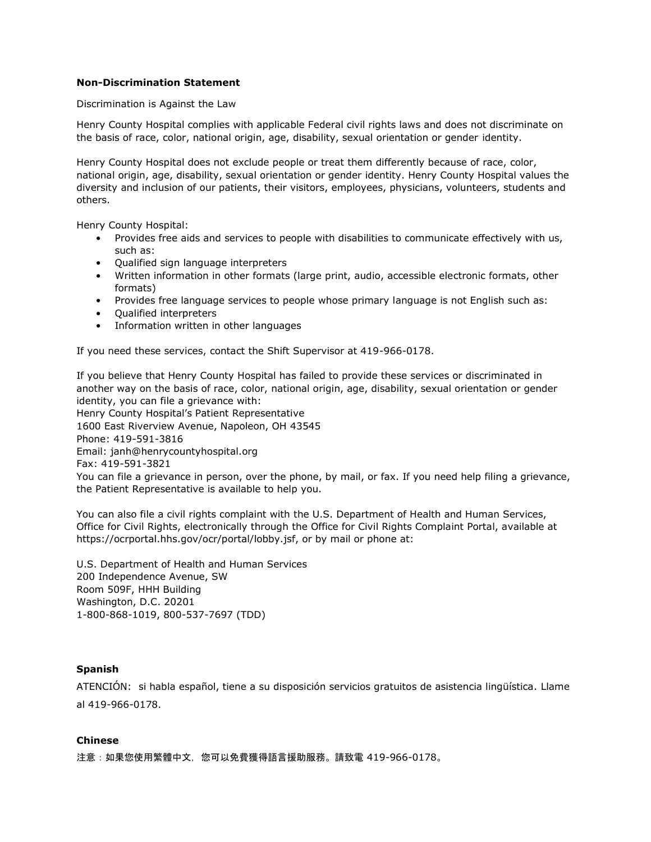## **Non-Discrimination Statement**

Discrimination is Against the Law

Henry County Hospital complies with applicable Federal civil rights laws and does not discriminate on the basis of race, color, national origin, age, disability, sexual orientation or gender identity.

Henry County Hospital does not exclude people or treat them differently because of race, color, national origin, age, disability, sexual orientation or gender identity. Henry County Hospital values the diversity and inclusion of our patients, their visitors, employees, physicians, volunteers, students and others.

Henry County Hospital:

- Provides free aids and services to people with disabilities to communicate effectively with us, such as:
- Qualified sign language interpreters
- Written information in other formats (large print, audio, accessible electronic formats, other formats)
- Provides free language services to people whose primary language is not English such as:
- Qualified interpreters
- Information written in other languages

If you need these services, contact the Shift Supervisor at 419-966-0178.

If you believe that Henry County Hospital has failed to provide these services or discriminated in another way on the basis of race, color, national origin, age, disability, sexual orientation or gender identity, you can file a grievance with: Henry County Hospital's Patient Representative 1600 East Riverview Avenue, Napoleon, OH 43545

Phone: 419-591-3816

Email: janh@henrycountyhospital.org

Fax: 419-591-3821

You can file a grievance in person, over the phone, by mail, or fax. If you need help filing a grievance, the Patient Representative is available to help you.

You can also file a civil rights complaint with the U.S. Department of Health and Human Services, Office for Civil Rights, electronically through the Office for Civil Rights Complaint Portal, available at https://ocrportal.hhs.gov/ocr/portal/lobby.jsf, or by mail or phone at:

U.S. Department of Health and Human Services 200 Independence Avenue, SW Room 509F, HHH Building Washington, D.C. 20201 1-800-868-1019, 800-537-7697 (TDD)

## **Spanish**

ATENCIÓN: si habla español, tiene a su disposición servicios gratuitos de asistencia lingüística. Llame al 419-966-0178.

#### **Chinese**

注意:如果您使用繁體中文,您可以免費獲得語言援助服務。請致電 419-966-0178。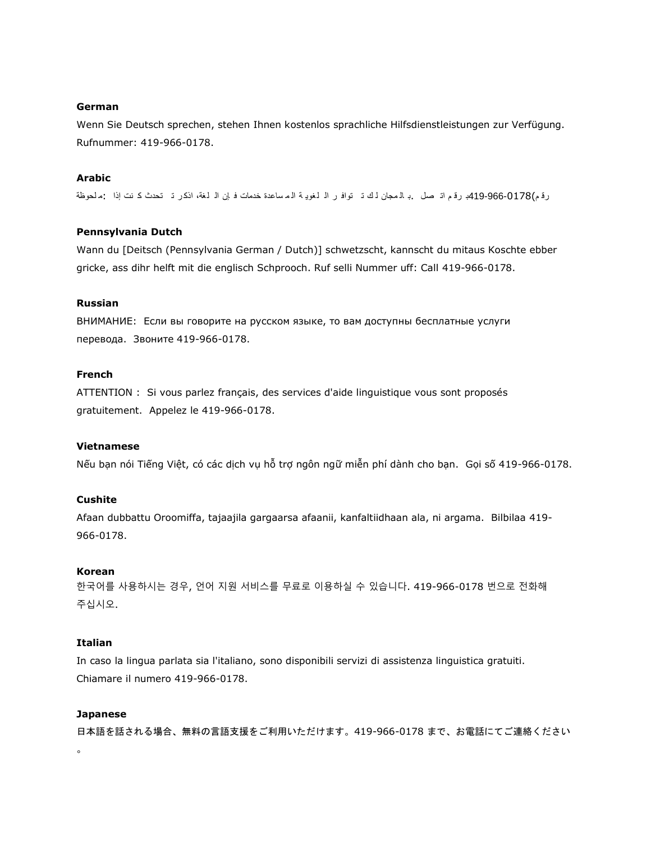#### **German**

Wenn Sie Deutsch sprechen, stehen Ihnen kostenlos sprachliche Hilfsdienstleistungen zur Verfügung. Rufnummer: 419-966-0178.

## **Arabic**

رقم)419-966-0178ب رقم اتـ صل .بـ ال مجان لـ ك تـ توافـر الـ لـغويـة الـمساعدة خدمات فـ إن الـ لـغة، اذكـر تــ تحدث كـ نت إذا :م لحوظة

#### **Pennsylvania Dutch**

Wann du [Deitsch (Pennsylvania German / Dutch)] schwetzscht, kannscht du mitaus Koschte ebber gricke, ass dihr helft mit die englisch Schprooch. Ruf selli Nummer uff: Call 419-966-0178.

## **Russian**

ВНИМАНИЕ: Если вы говорите на русском языке, то вам доступны бесплатные услуги перевода. Звоните 419-966-0178.

## **French**

ATTENTION : Si vous parlez français, des services d'aide linguistique vous sont proposés gratuitement. Appelez le 419-966-0178.

#### **Vietnamese**

Nếu bạn nói Tiếng Việt, có các dịch vụ hỗ trợ ngôn ngữ miễn phí dành cho bạn. Gọi số 419-966-0178.

## **Cushite**

Afaan dubbattu Oroomiffa, tajaajila gargaarsa afaanii, kanfaltiidhaan ala, ni argama. Bilbilaa 419- 966-0178.

## **Korean**

한국어를 사용하시는 경우, 언어 지원 서비스를 무료로 이용하실 수 있습니다. 419-966-0178 번으로 전화해 주십시오.

## **Italian**

In caso la lingua parlata sia l'italiano, sono disponibili servizi di assistenza linguistica gratuiti. Chiamare il numero 419-966-0178.

#### **Japanese**

 $\ddot{\circ}$ 

日本語を話される場合、無料の言語支援をご利用いただけます。419-966-0178 まで、お電話にてご連絡ください